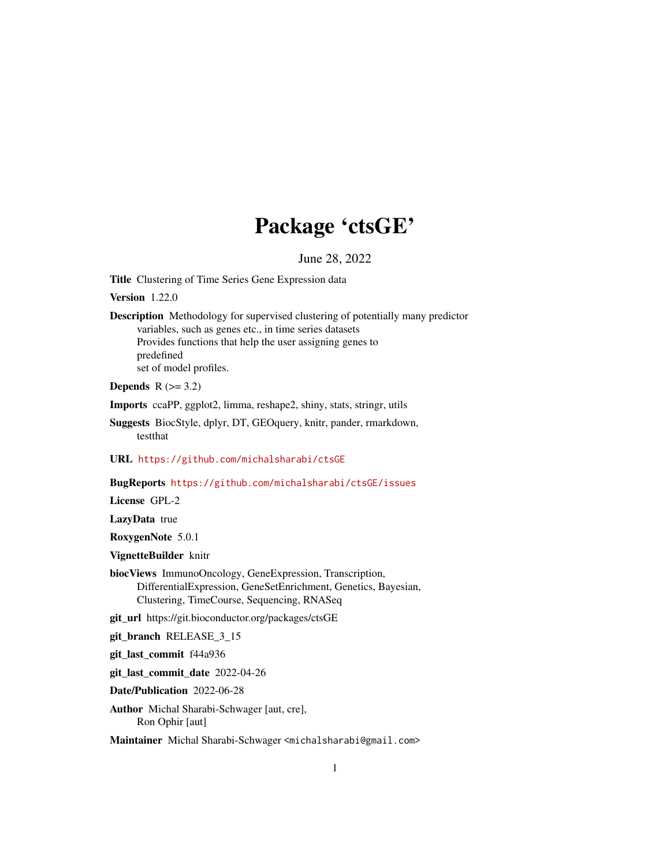## Package 'ctsGE'

June 28, 2022

<span id="page-0-0"></span>Title Clustering of Time Series Gene Expression data

Version 1.22.0

Description Methodology for supervised clustering of potentially many predictor variables, such as genes etc., in time series datasets Provides functions that help the user assigning genes to predefined set of model profiles.

#### Depends  $R$  ( $>= 3.2$ )

Imports ccaPP, ggplot2, limma, reshape2, shiny, stats, stringr, utils

Suggests BiocStyle, dplyr, DT, GEOquery, knitr, pander, rmarkdown, testthat

URL <https://github.com/michalsharabi/ctsGE>

#### BugReports <https://github.com/michalsharabi/ctsGE/issues>

License GPL-2

LazyData true

RoxygenNote 5.0.1

VignetteBuilder knitr

biocViews ImmunoOncology, GeneExpression, Transcription, DifferentialExpression, GeneSetEnrichment, Genetics, Bayesian, Clustering, TimeCourse, Sequencing, RNASeq

git\_url https://git.bioconductor.org/packages/ctsGE

git\_branch RELEASE\_3\_15

git\_last\_commit f44a936

git\_last\_commit\_date 2022-04-26

Date/Publication 2022-06-28

Author Michal Sharabi-Schwager [aut, cre], Ron Ophir [aut]

Maintainer Michal Sharabi-Schwager <michalsharabi@gmail.com>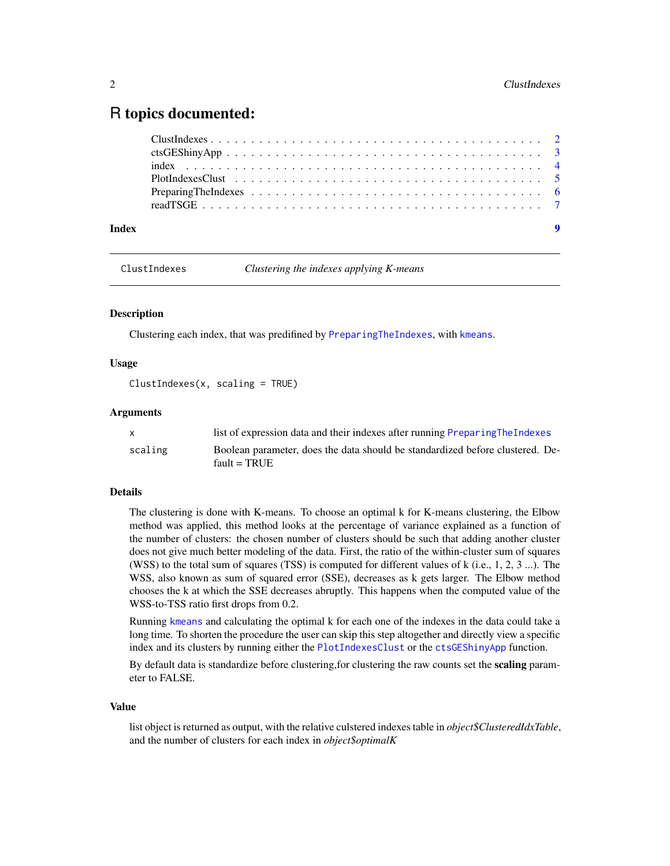### <span id="page-1-0"></span>R topics documented:

| Index |  |
|-------|--|

<span id="page-1-1"></span>ClustIndexes *Clustering the indexes applying K-means*

#### **Description**

Clustering each index, that was predifined by [PreparingTheIndexes](#page-5-1), with [kmeans](#page-0-0).

#### Usage

ClustIndexes(x, scaling = TRUE)

#### Arguments

|         | list of expression data and their indexes after running Preparing The Indexes                   |
|---------|-------------------------------------------------------------------------------------------------|
| scaling | Boolean parameter, does the data should be standardized before clustered. De-<br>fault = $TRUE$ |

#### Details

The clustering is done with K-means. To choose an optimal k for K-means clustering, the Elbow method was applied, this method looks at the percentage of variance explained as a function of the number of clusters: the chosen number of clusters should be such that adding another cluster does not give much better modeling of the data. First, the ratio of the within-cluster sum of squares (WSS) to the total sum of squares (TSS) is computed for different values of  $k$  (i.e., 1, 2, 3 ...). The WSS, also known as sum of squared error (SSE), decreases as k gets larger. The Elbow method chooses the k at which the SSE decreases abruptly. This happens when the computed value of the WSS-to-TSS ratio first drops from 0.2.

Running [kmeans](#page-0-0) and calculating the optimal k for each one of the indexes in the data could take a long time. To shorten the procedure the user can skip this step altogether and directly view a specific index and its clusters by running either the [PlotIndexesClust](#page-4-1) or the [ctsGEShinyApp](#page-2-1) function.

By default data is standardize before clustering, for clustering the raw counts set the scaling parameter to FALSE.

#### Value

list object is returned as output, with the relative culstered indexes table in *object\$ClusteredIdxTable*, and the number of clusters for each index in *object\$optimalK*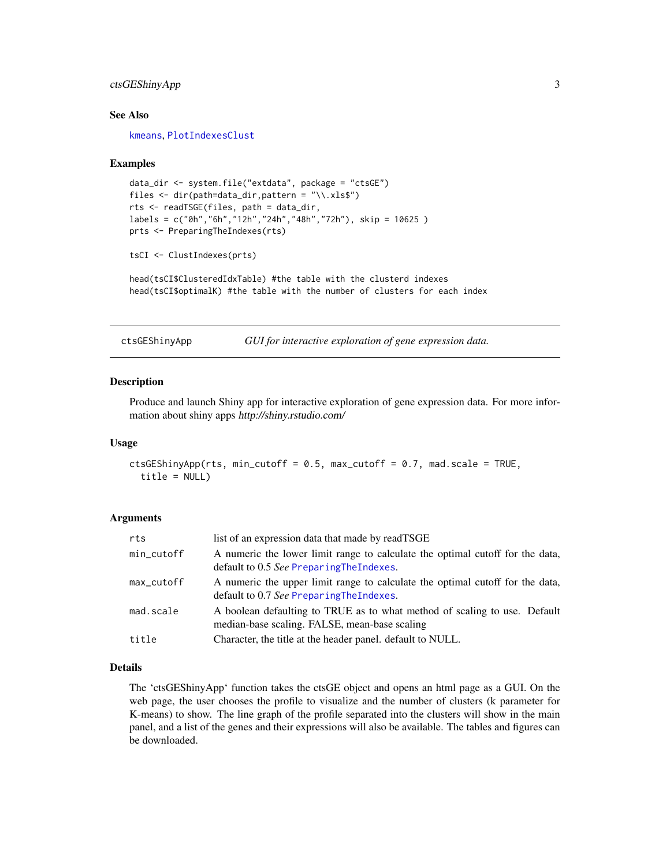#### <span id="page-2-0"></span>ctsGEShinyApp 3

#### See Also

[kmeans](#page-0-0), [PlotIndexesClust](#page-4-1)

#### Examples

```
data_dir <- system.file("extdata", package = "ctsGE")
files <- dir(path=data_dir,pattern = "\\.xls$")
rts <- readTSGE(files, path = data_dir,
labels = c("0h","6h","12h","24h","48h","72h"), skip = 10625 )
prts <- PreparingTheIndexes(rts)
```

```
tsCI <- ClustIndexes(prts)
```
head(tsCI\$ClusteredIdxTable) #the table with the clusterd indexes head(tsCI\$optimalK) #the table with the number of clusters for each index

<span id="page-2-1"></span>ctsGEShinyApp *GUI for interactive exploration of gene expression data.*

#### Description

Produce and launch Shiny app for interactive exploration of gene expression data. For more information about shiny apps http://shiny.rstudio.com/

#### Usage

```
ctsGEShinyApp(rts, min_cutoff = 0.5, max_cutoff = 0.7, mad.scale = TRUE,
  title = NULL)
```
#### Arguments

| rts        | list of an expression data that made by readTSGE                                                                           |
|------------|----------------------------------------------------------------------------------------------------------------------------|
| min_cutoff | A numeric the lower limit range to calculate the optimal cutoff for the data,<br>default to 0.5 See Preparing The Indexes. |
| max_cutoff | A numeric the upper limit range to calculate the optimal cutoff for the data,<br>default to 0.7 See PreparingTheIndexes.   |
| mad.scale  | A boolean defaulting to TRUE as to what method of scaling to use. Default<br>median-base scaling. FALSE, mean-base scaling |
| title      | Character, the title at the header panel. default to NULL.                                                                 |

#### Details

The 'ctsGEShinyApp' function takes the ctsGE object and opens an html page as a GUI. On the web page, the user chooses the profile to visualize and the number of clusters (k parameter for K-means) to show. The line graph of the profile separated into the clusters will show in the main panel, and a list of the genes and their expressions will also be available. The tables and figures can be downloaded.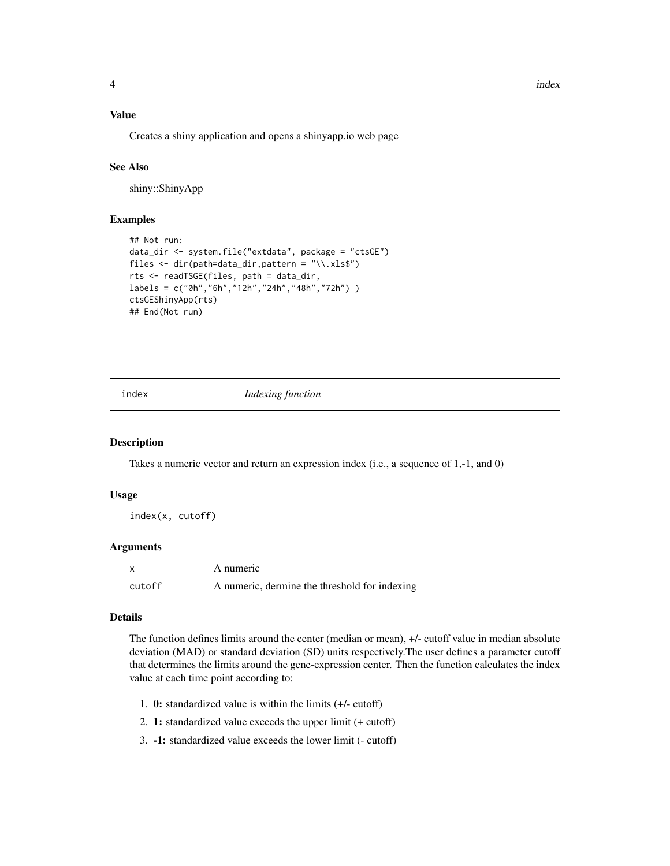#### Value

Creates a shiny application and opens a shinyapp.io web page

#### See Also

shiny::ShinyApp

#### Examples

```
## Not run:
data_dir <- system.file("extdata", package = "ctsGE")
files <- dir(path=data_dir,pattern = "\\.xls$")
rts <- readTSGE(files, path = data_dir,
labels = c("0h","6h","12h","24h","48h","72h") )
ctsGEShinyApp(rts)
## End(Not run)
```
<span id="page-3-1"></span>

index *Indexing function*

#### Description

Takes a numeric vector and return an expression index (i.e., a sequence of 1,-1, and 0)

#### Usage

index(x, cutoff)

#### Arguments

|        | A numeric                                     |
|--------|-----------------------------------------------|
| cutoff | A numeric, dermine the threshold for indexing |

#### Details

The function defines limits around the center (median or mean), +/- cutoff value in median absolute deviation (MAD) or standard deviation (SD) units respectively.The user defines a parameter cutoff that determines the limits around the gene-expression center. Then the function calculates the index value at each time point according to:

- 1. 0: standardized value is within the limits (+/- cutoff)
- 2. 1: standardized value exceeds the upper limit (+ cutoff)
- 3. -1: standardized value exceeds the lower limit (- cutoff)

<span id="page-3-0"></span>4 index and the state of the state of the state of the state of the state of the state of the state of the state of the state of the state of the state of the state of the state of the state of the state of the state of th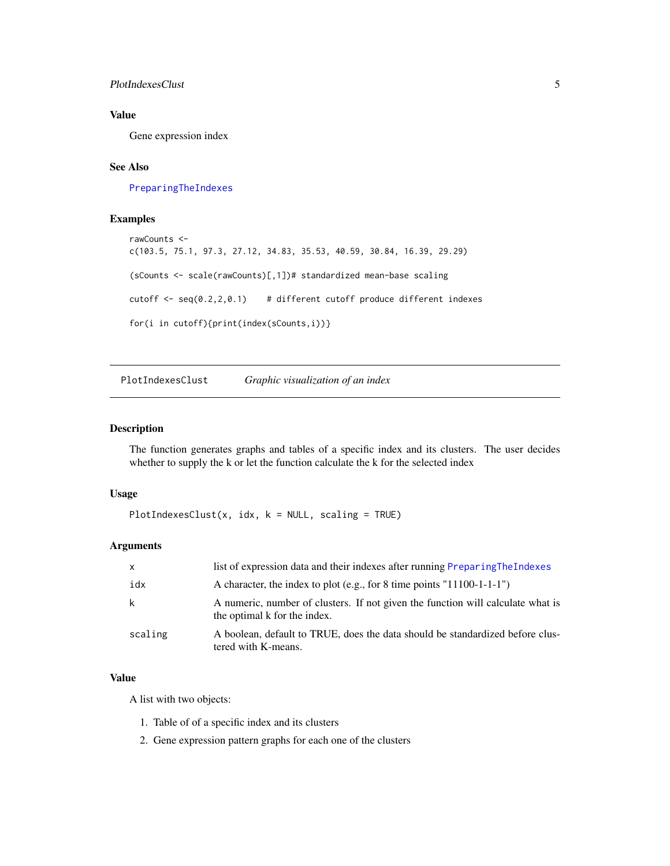#### <span id="page-4-0"></span>PlotIndexesClust 5

#### Value

Gene expression index

#### See Also

[PreparingTheIndexes](#page-5-1)

#### Examples

```
rawCounts <-
c(103.5, 75.1, 97.3, 27.12, 34.83, 35.53, 40.59, 30.84, 16.39, 29.29)
(sCounts <- scale(rawCounts)[,1])# standardized mean-base scaling
cutoff <- seq(0.2,2,0.1) # different cutoff produce different indexes
for(i in cutoff){print(index(sCounts,i))}
```
<span id="page-4-1"></span>PlotIndexesClust *Graphic visualization of an index*

#### Description

The function generates graphs and tables of a specific index and its clusters. The user decides whether to supply the k or let the function calculate the k for the selected index

#### Usage

PlotIndexesClust(x, idx,  $k = NULL$ , scaling = TRUE)

#### Arguments

| $\mathsf{X}$ | list of expression data and their indexes after running PreparingTheIndexes                                     |
|--------------|-----------------------------------------------------------------------------------------------------------------|
| idx          | A character, the index to plot (e.g., for 8 time points "11100-1-1-1")                                          |
| k            | A numeric, number of clusters. If not given the function will calculate what is<br>the optimal k for the index. |
| scaling      | A boolean, default to TRUE, does the data should be standardized before clus-<br>tered with K-means.            |

#### Value

A list with two objects:

- 1. Table of of a specific index and its clusters
- 2. Gene expression pattern graphs for each one of the clusters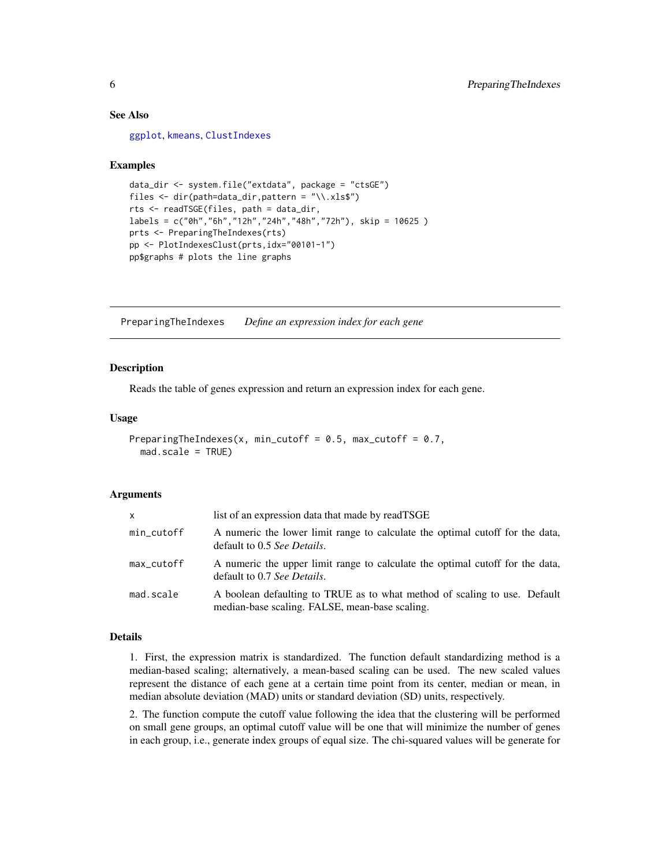#### See Also

[ggplot](#page-0-0), [kmeans](#page-0-0), [ClustIndexes](#page-1-1)

#### Examples

```
data_dir <- system.file("extdata", package = "ctsGE")
files <- dir(path=data_dir,pattern = "\\.xls$")
rts <- readTSGE(files, path = data_dir,
labels = c("0h","6h","12h","24h","48h","72h"), skip = 10625 )
prts <- PreparingTheIndexes(rts)
pp <- PlotIndexesClust(prts,idx="00101-1")
pp$graphs # plots the line graphs
```
<span id="page-5-1"></span>PreparingTheIndexes *Define an expression index for each gene*

#### **Description**

Reads the table of genes expression and return an expression index for each gene.

#### Usage

```
PreparingTheIndexes(x, min_cutoff = 0.5, max_cutoff = 0.7,
 mad.scale = TRUE)
```
#### Arguments

| $\mathsf{x}$ | list of an expression data that made by readTSGE                                                                            |
|--------------|-----------------------------------------------------------------------------------------------------------------------------|
| min_cutoff   | A numeric the lower limit range to calculate the optimal cutoff for the data,<br>default to 0.5 See Details.                |
| max_cutoff   | A numeric the upper limit range to calculate the optimal cutoff for the data,<br>default to 0.7 See Details.                |
| mad.scale    | A boolean defaulting to TRUE as to what method of scaling to use. Default<br>median-base scaling. FALSE, mean-base scaling. |

#### Details

1. First, the expression matrix is standardized. The function default standardizing method is a median-based scaling; alternatively, a mean-based scaling can be used. The new scaled values represent the distance of each gene at a certain time point from its center, median or mean, in median absolute deviation (MAD) units or standard deviation (SD) units, respectively.

2. The function compute the cutoff value following the idea that the clustering will be performed on small gene groups, an optimal cutoff value will be one that will minimize the number of genes in each group, i.e., generate index groups of equal size. The chi-squared values will be generate for

<span id="page-5-0"></span>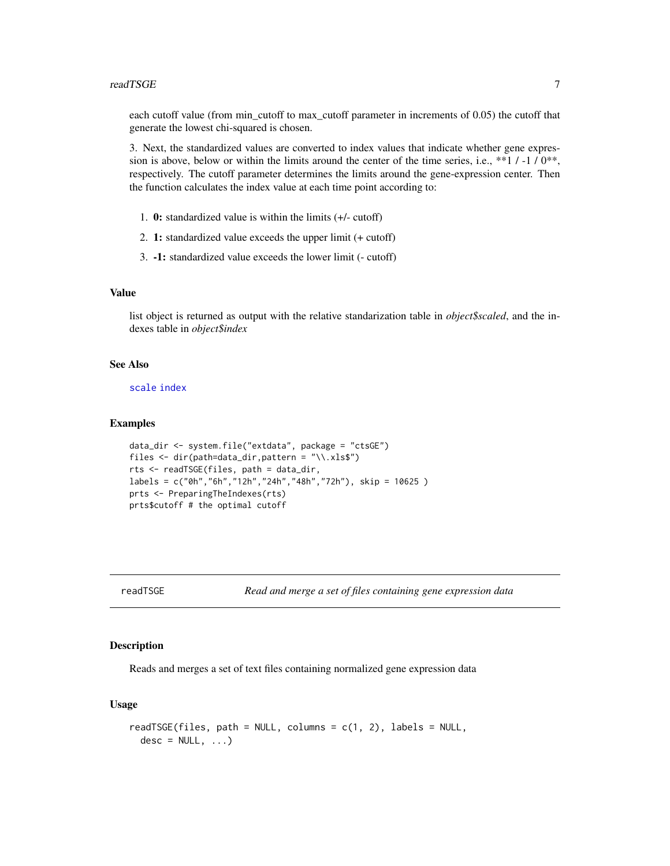#### <span id="page-6-0"></span>readTSGE 7 and 2008 and 2008 and 2008 and 2008 and 2008 and 2008 and 2008 and 2008 and 2008 and 2008 and 2008

each cutoff value (from min\_cutoff to max\_cutoff parameter in increments of 0.05) the cutoff that generate the lowest chi-squared is chosen.

3. Next, the standardized values are converted to index values that indicate whether gene expression is above, below or within the limits around the center of the time series, i.e., \*\*1 / -1 / 0\*\*, respectively. The cutoff parameter determines the limits around the gene-expression center. Then the function calculates the index value at each time point according to:

- 1. 0: standardized value is within the limits (+/- cutoff)
- 2. 1: standardized value exceeds the upper limit (+ cutoff)
- 3. -1: standardized value exceeds the lower limit (- cutoff)

#### Value

list object is returned as output with the relative standarization table in *object\$scaled*, and the indexes table in *object\$index*

#### See Also

[scale](#page-0-0) [index](#page-3-1)

#### Examples

```
data_dir <- system.file("extdata", package = "ctsGE")
files <- dir(path=data_dir,pattern = "\\.xls$")
rts <- readTSGE(files, path = data_dir,
labels = c("0h","6h","12h","24h","48h","72h"), skip = 10625 )
prts <- PreparingTheIndexes(rts)
prts$cutoff # the optimal cutoff
```
readTSGE *Read and merge a set of files containing gene expression data*

#### Description

Reads and merges a set of text files containing normalized gene expression data

#### Usage

```
readTSGE(files, path = NULL, columns = c(1, 2), labels = NULL,
 desc = NULL, ...)
```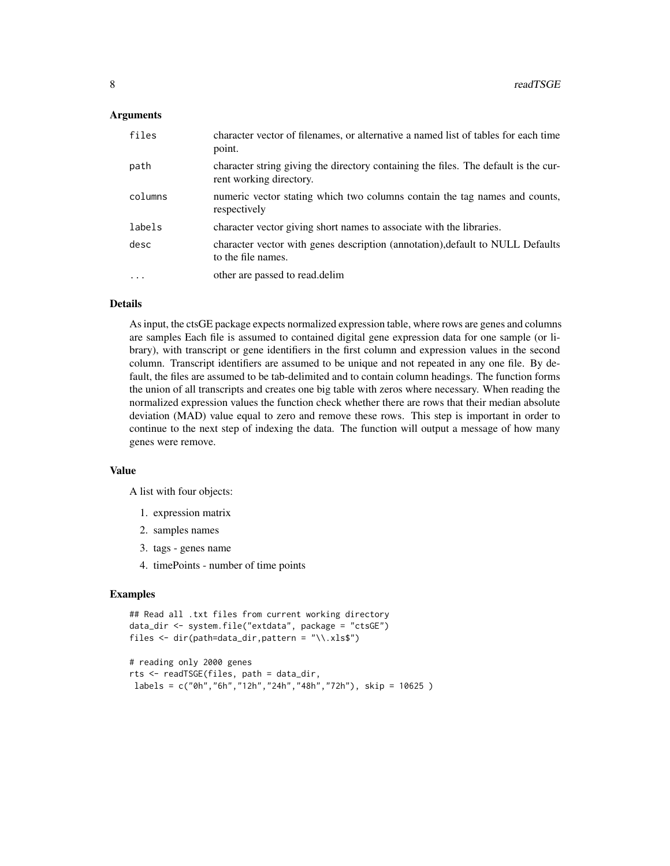#### Arguments

| files   | character vector of filenames, or alternative a named list of tables for each time<br>point.                   |
|---------|----------------------------------------------------------------------------------------------------------------|
| path    | character string giving the directory containing the files. The default is the cur-<br>rent working directory. |
| columns | numeric vector stating which two columns contain the tag names and counts,<br>respectively                     |
| labels  | character vector giving short names to associate with the libraries.                                           |
| desc    | character vector with genes description (annotation), default to NULL Defaults<br>to the file names.           |
| $\cdot$ | other are passed to read.delim                                                                                 |

#### Details

As input, the ctsGE package expects normalized expression table, where rows are genes and columns are samples Each file is assumed to contained digital gene expression data for one sample (or library), with transcript or gene identifiers in the first column and expression values in the second column. Transcript identifiers are assumed to be unique and not repeated in any one file. By default, the files are assumed to be tab-delimited and to contain column headings. The function forms the union of all transcripts and creates one big table with zeros where necessary. When reading the normalized expression values the function check whether there are rows that their median absolute deviation (MAD) value equal to zero and remove these rows. This step is important in order to continue to the next step of indexing the data. The function will output a message of how many genes were remove.

#### Value

A list with four objects:

- 1. expression matrix
- 2. samples names
- 3. tags genes name
- 4. timePoints number of time points

#### Examples

```
## Read all .txt files from current working directory
data_dir <- system.file("extdata", package = "ctsGE")
files <- dir(path=data_dir,pattern = "\\.xls$")
```

```
# reading only 2000 genes
rts <- readTSGE(files, path = data_dir,
labels = c("0h","6h","12h","24h","48h","72h"), skip = 10625 )
```